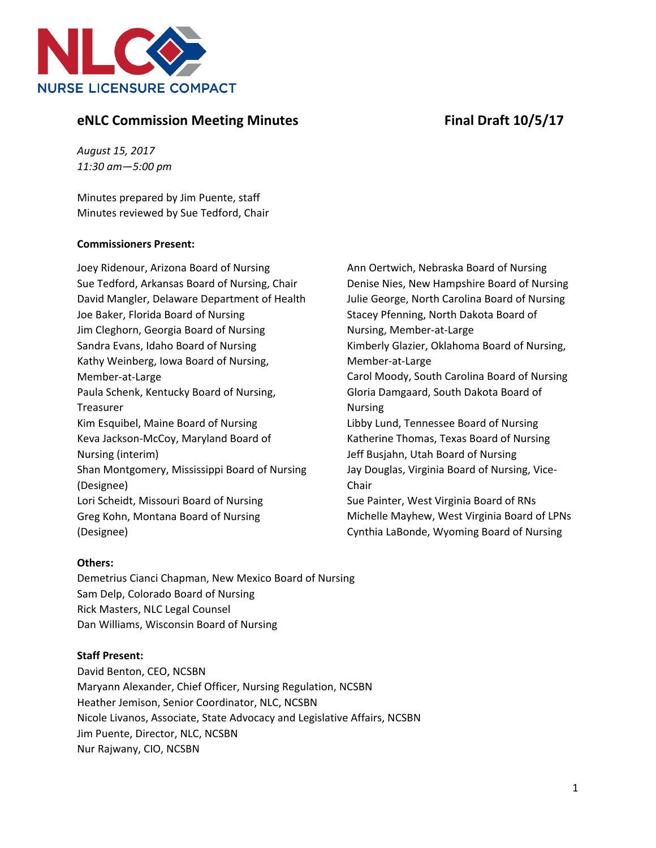



# **eNLC** Commission Meeting Minutes Final Draft 10/5/17

*August 15, 2017 11:30 am—5:00 pm*

Minutes prepared by Jim Puente, staff Minutes reviewed by Sue Tedford, Chair

### **Commissioners Present:**

Joey Ridenour, Arizona Board of Nursing Sue Tedford, Arkansas Board of Nursing, Chair David Mangler, Delaware Department of Health Joe Baker, Florida Board of Nursing Jim Cleghorn, Georgia Board of Nursing Sandra Evans, Idaho Board of Nursing Kathy Weinberg, Iowa Board of Nursing, Member-at-Large Paula Schenk, Kentucky Board of Nursing, Treasurer Kim Esquibel, Maine Board of Nursing Keva Jackson-McCoy, Maryland Board of Nursing (interim) Shan Montgomery, Mississippi Board of Nursing (Designee) Lori Scheidt, Missouri Board of Nursing Greg Kohn, Montana Board of Nursing (Designee)

Ann Oertwich, Nebraska Board of Nursing Denise Nies, New Hampshire Board of Nursing Julie George, North Carolina Board of Nursing Stacey Pfenning, North Dakota Board of Nursing, Member-at-Large Kimberly Glazier, Oklahoma Board of Nursing, Member-at-Large Carol Moody, South Carolina Board of Nursing Gloria Damgaard, South Dakota Board of Nursing Libby Lund, Tennessee Board of Nursing Katherine Thomas, Texas Board of Nursing Jeff Busjahn, Utah Board of Nursing Jay Douglas, Virginia Board of Nursing, Vice-Chair Sue Painter, West Virginia Board of RNs Michelle Mayhew, West Virginia Board of LPNs

Cynthia LaBonde, Wyoming Board of Nursing

## **Others:**

Demetrius Cianci Chapman, New Mexico Board of Nursing Sam Delp, Colorado Board of Nursing Rick Masters, NLC Legal Counsel Dan Williams, Wisconsin Board of Nursing

## **Staff Present:**

David Benton, CEO, NCSBN Maryann Alexander, Chief Officer, Nursing Regulation, NCSBN Heather Jemison, Senior Coordinator, NLC, NCSBN Nicole Livanos, Associate, State Advocacy and Legislative Affairs, NCSBN Jim Puente, Director, NLC, NCSBN Nur Rajwany, CIO, NCSBN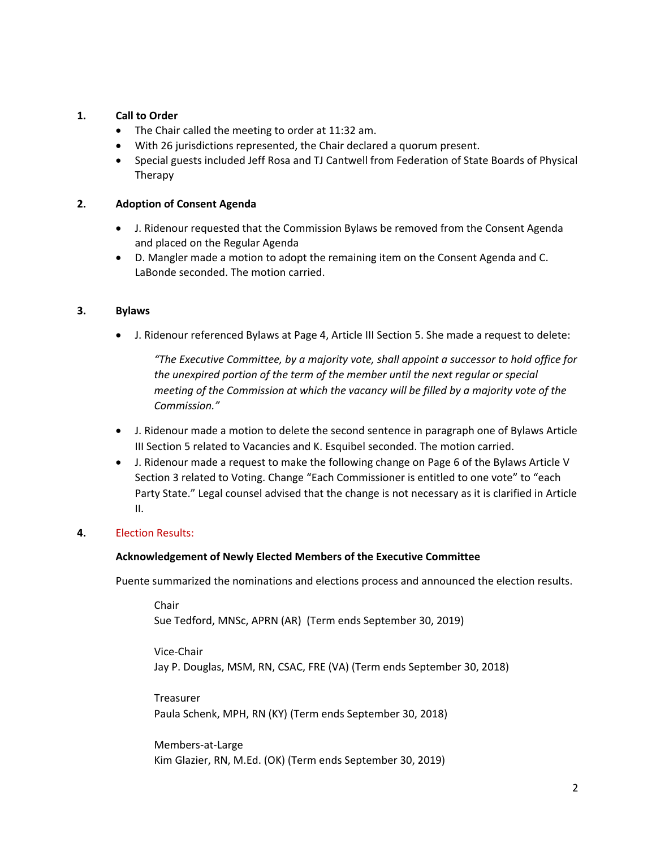### **1. Call to Order**

- The Chair called the meeting to order at 11:32 am.
- With 26 jurisdictions represented, the Chair declared a quorum present.
- Special guests included Jeff Rosa and TJ Cantwell from Federation of State Boards of Physical Therapy

### **2. Adoption of Consent Agenda**

- J. Ridenour requested that the Commission Bylaws be removed from the Consent Agenda and placed on the Regular Agenda
- D. Mangler made a motion to adopt the remaining item on the Consent Agenda and C. LaBonde seconded. The motion carried.

#### **3. Bylaws**

• J. Ridenour referenced Bylaws at Page 4, Article III Section 5. She made a request to delete:

*"The Executive Committee, by a majority vote, shall appoint a successor to hold office for the unexpired portion of the term of the member until the next regular or special meeting of the Commission at which the vacancy will be filled by a majority vote of the Commission."*

- J. Ridenour made a motion to delete the second sentence in paragraph one of Bylaws Article III Section 5 related to Vacancies and K. Esquibel seconded. The motion carried.
- J. Ridenour made a request to make the following change on Page 6 of the Bylaws Article V Section 3 related to Voting. Change "Each Commissioner is entitled to one vote" to "each Party State." Legal counsel advised that the change is not necessary as it is clarified in Article II.

### **4.** Election Results:

#### **Acknowledgement of Newly Elected Members of the Executive Committee**

Puente summarized the nominations and elections process and announced the election results.

Chair Sue Tedford, MNSc, APRN (AR) (Term ends September 30, 2019)

Vice-Chair Jay P. Douglas, MSM, RN, CSAC, FRE (VA) (Term ends September 30, 2018)

Treasurer Paula Schenk, MPH, RN (KY) (Term ends September 30, 2018)

Members-at-Large Kim Glazier, RN, M.Ed. (OK) (Term ends September 30, 2019)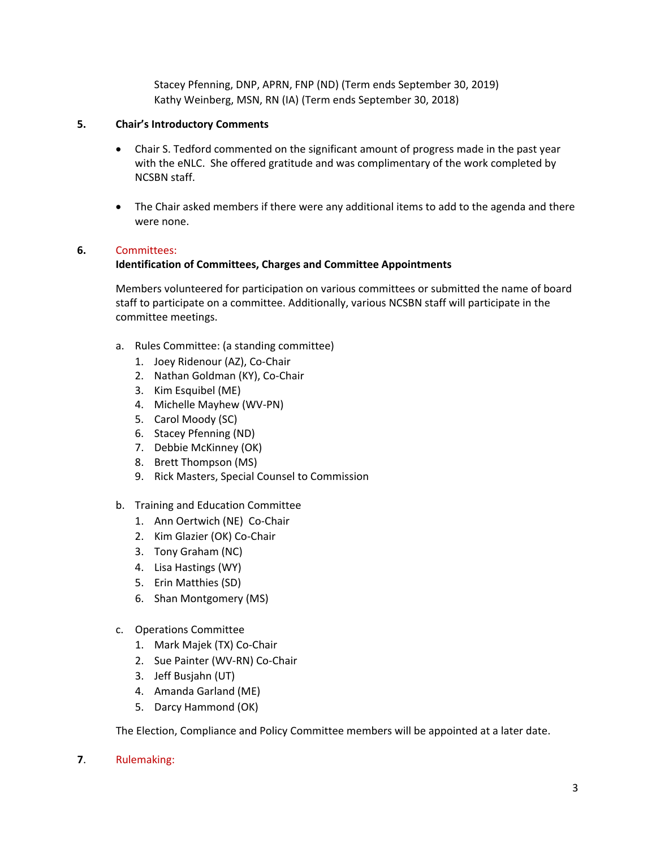Stacey Pfenning, DNP, APRN, FNP (ND) (Term ends September 30, 2019) Kathy Weinberg, MSN, RN (IA) (Term ends September 30, 2018)

### **5. Chair's Introductory Comments**

- Chair S. Tedford commented on the significant amount of progress made in the past year with the eNLC. She offered gratitude and was complimentary of the work completed by NCSBN staff.
- The Chair asked members if there were any additional items to add to the agenda and there were none.

#### **6.** Committees:

#### **Identification of Committees, Charges and Committee Appointments**

Members volunteered for participation on various committees or submitted the name of board staff to participate on a committee. Additionally, various NCSBN staff will participate in the committee meetings.

- a. Rules Committee: (a standing committee)
	- 1. Joey Ridenour (AZ), Co-Chair
	- 2. Nathan Goldman (KY), Co-Chair
	- 3. Kim Esquibel (ME)
	- 4. Michelle Mayhew (WV-PN)
	- 5. Carol Moody (SC)
	- 6. Stacey Pfenning (ND)
	- 7. Debbie McKinney (OK)
	- 8. Brett Thompson (MS)
	- 9. Rick Masters, Special Counsel to Commission
- b. Training and Education Committee
	- 1. Ann Oertwich (NE) Co-Chair
	- 2. Kim Glazier (OK) Co-Chair
	- 3. Tony Graham (NC)
	- 4. Lisa Hastings (WY)
	- 5. Erin Matthies (SD)
	- 6. Shan Montgomery (MS)
- c. Operations Committee
	- 1. Mark Majek (TX) Co-Chair
	- 2. Sue Painter (WV-RN) Co-Chair
	- 3. Jeff Busjahn (UT)
	- 4. Amanda Garland (ME)
	- 5. Darcy Hammond (OK)

The Election, Compliance and Policy Committee members will be appointed at a later date.

**7**. Rulemaking: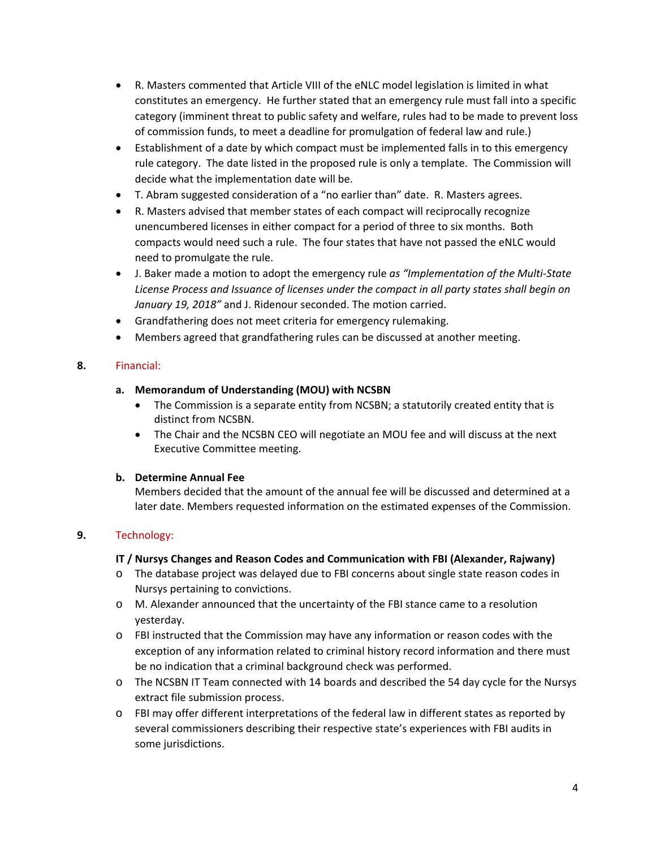- R. Masters commented that Article VIII of the eNLC model legislation is limited in what constitutes an emergency. He further stated that an emergency rule must fall into a specific category (imminent threat to public safety and welfare, rules had to be made to prevent loss of commission funds, to meet a deadline for promulgation of federal law and rule.)
- Establishment of a date by which compact must be implemented falls in to this emergency rule category. The date listed in the proposed rule is only a template. The Commission will decide what the implementation date will be.
- T. Abram suggested consideration of a "no earlier than" date. R. Masters agrees.
- R. Masters advised that member states of each compact will reciprocally recognize unencumbered licenses in either compact for a period of three to six months. Both compacts would need such a rule. The four states that have not passed the eNLC would need to promulgate the rule.
- J. Baker made a motion to adopt the emergency rule *as "Implementation of the Multi-State License Process and Issuance of licenses under the compact in all party states shall begin on January 19, 2018"* and J. Ridenour seconded. The motion carried.
- Grandfathering does not meet criteria for emergency rulemaking.
- Members agreed that grandfathering rules can be discussed at another meeting.

# **8.** Financial:

## **a. Memorandum of Understanding (MOU) with NCSBN**

- The Commission is a separate entity from NCSBN; a statutorily created entity that is distinct from NCSBN.
- The Chair and the NCSBN CEO will negotiate an MOU fee and will discuss at the next Executive Committee meeting.

## **b. Determine Annual Fee**

Members decided that the amount of the annual fee will be discussed and determined at a later date. Members requested information on the estimated expenses of the Commission.

# **9.** Technology:

## **IT / Nursys Changes and Reason Codes and Communication with FBI (Alexander, Rajwany)**

- o The database project was delayed due to FBI concerns about single state reason codes in Nursys pertaining to convictions.
- o M. Alexander announced that the uncertainty of the FBI stance came to a resolution yesterday.
- o FBI instructed that the Commission may have any information or reason codes with the exception of any information related to criminal history record information and there must be no indication that a criminal background check was performed.
- o The NCSBN IT Team connected with 14 boards and described the 54 day cycle for the Nursys extract file submission process.
- o FBI may offer different interpretations of the federal law in different states as reported by several commissioners describing their respective state's experiences with FBI audits in some jurisdictions.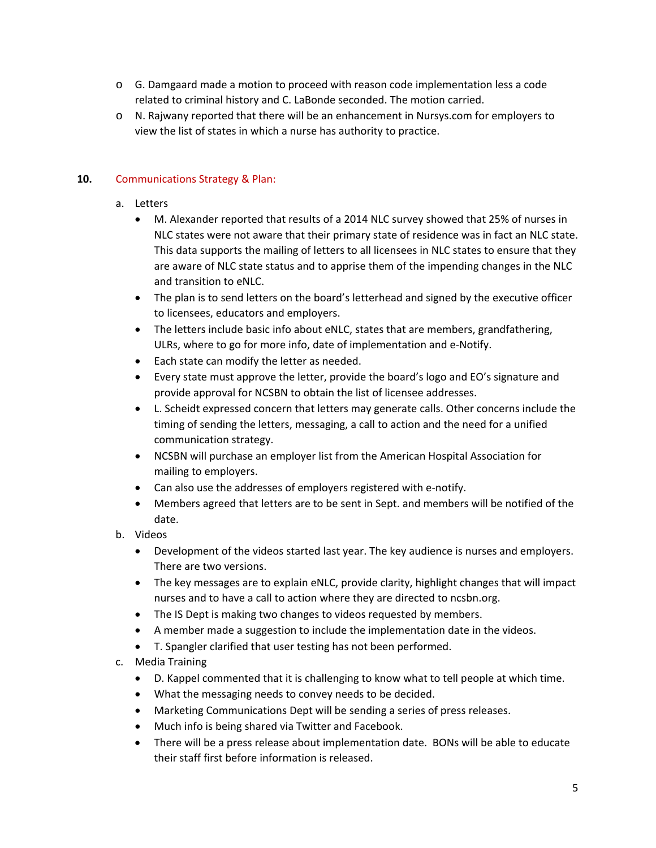- $\circ$  G. Damgaard made a motion to proceed with reason code implementation less a code related to criminal history and C. LaBonde seconded. The motion carried.
- o N. Rajwany reported that there will be an enhancement in Nursys.com for employers to view the list of states in which a nurse has authority to practice.

# **10.** Communications Strategy & Plan:

- a. Letters
	- M. Alexander reported that results of a 2014 NLC survey showed that 25% of nurses in NLC states were not aware that their primary state of residence was in fact an NLC state. This data supports the mailing of letters to all licensees in NLC states to ensure that they are aware of NLC state status and to apprise them of the impending changes in the NLC and transition to eNLC.
	- The plan is to send letters on the board's letterhead and signed by the executive officer to licensees, educators and employers.
	- The letters include basic info about eNLC, states that are members, grandfathering, ULRs, where to go for more info, date of implementation and e-Notify.
	- Each state can modify the letter as needed.
	- Every state must approve the letter, provide the board's logo and EO's signature and provide approval for NCSBN to obtain the list of licensee addresses.
	- L. Scheidt expressed concern that letters may generate calls. Other concerns include the timing of sending the letters, messaging, a call to action and the need for a unified communication strategy.
	- NCSBN will purchase an employer list from the American Hospital Association for mailing to employers.
	- Can also use the addresses of employers registered with e-notify.
	- Members agreed that letters are to be sent in Sept. and members will be notified of the date.
- b. Videos
	- Development of the videos started last year. The key audience is nurses and employers. There are two versions.
	- The key messages are to explain eNLC, provide clarity, highlight changes that will impact nurses and to have a call to action where they are directed to ncsbn.org.
	- The IS Dept is making two changes to videos requested by members.
	- A member made a suggestion to include the implementation date in the videos.
	- T. Spangler clarified that user testing has not been performed.
- c. Media Training
	- D. Kappel commented that it is challenging to know what to tell people at which time.
	- What the messaging needs to convey needs to be decided.
	- Marketing Communications Dept will be sending a series of press releases.
	- Much info is being shared via Twitter and Facebook.
	- There will be a press release about implementation date. BONs will be able to educate their staff first before information is released.